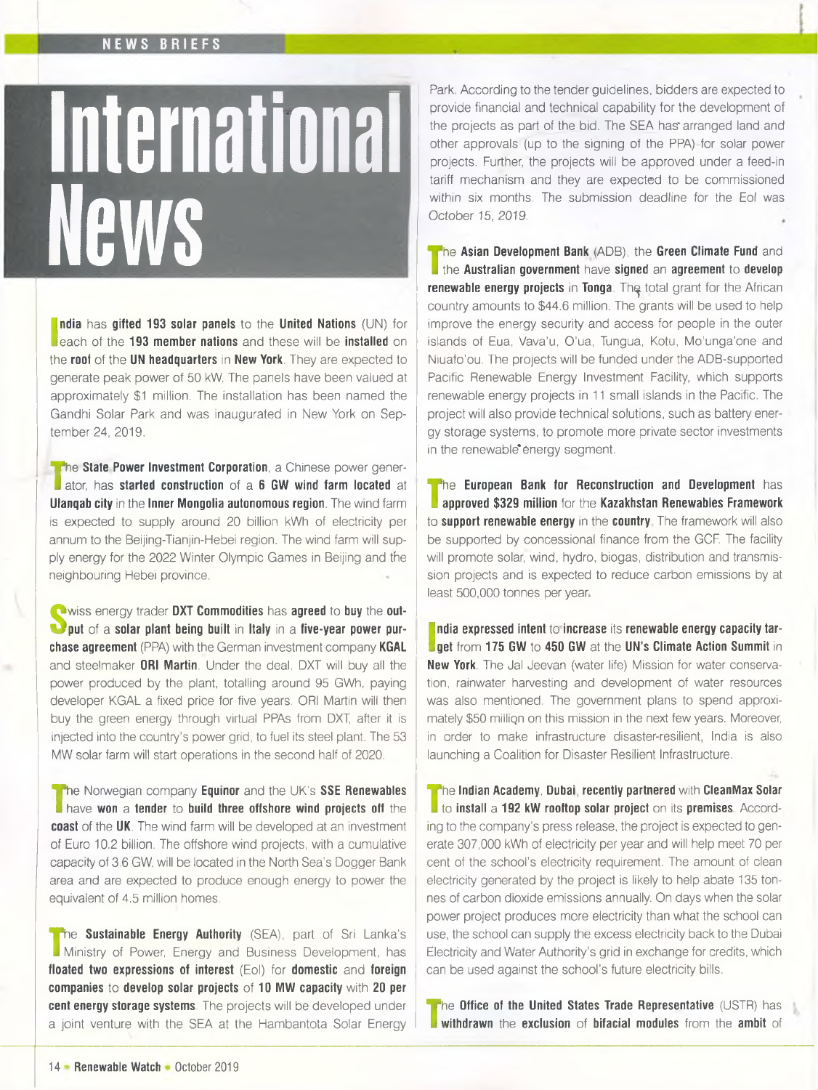## NEWS BRIEFS

## International **News**

**India** has **gifted 193 solar panels** to the **United Nations** (UN) for **i** each of the **193 member nations** and these will be **installed** on **ndia** has **gifted 193 solar panels** to the **United Nations** (UN) for the **roof** of the **UN headquarters** in **New York.** They are expected to generate peak power of 50 kW. The panels have been valued at approximately \$1 million. The installation has been named the Gandhi Solar Park and was inaugurated in New York on September 24, 2019.

**T** ator, has **started construction** of a **6 GW wind farm located** at **h** the **State Power Investment Corporation**, a Chinese power gener-**Ulanqab city** in the **Inner Mongolia autonomous region.** The wind farm is expected to supply around 20 billion kWh of electricity per annum to the Beijing-Tianjin-Hebei region. The wind farm will supply energy for the 2022 Winter Olympic Games in Beijing and the neighbouring Hebei province.

**S** wiss energy trader DXT Commodities has agreed to buy the out-<br> **S** put of a solar plant being built in Italy in a five-year power purwiss energy trader **DXT Commodities** has **agreed** to **buy** the **outchase agreement** (PPA) with the German investment company **KGAL** and steelmaker **ORI Martin.** Under the deal, DXT will buy all the power produced by the plant, totalling around 95 GWh, paying developer KGAL a fixed price for five years. ORI Martin will then buy the green energy through virtual PPAs from DXT, after it is injected into the country's power grid, to fuel its steel plant. The 53 MW solar farm will start operations in the second half of 2020.

**T** have won a **tender** to **build three offshore wind projects off** the he Norwegian company **Equinor** and the UK's **SSE Renewables coast** of the **UK.** The wind farm will be developed at an investment of Euro 10.2 billion. The offshore wind projects, with a cumulative capacity of 3.6 GW, will be located in the North Sea's Dogger Bank area and are expected to produce enough energy to power the equivalent of 4.5 million homes.

**T** Ministry of Power, Energy and Business Development, has **The Sustainable Energy Authority** *(SEA)*, part of Sri Lanka's **floated two expressions of interest** (Eol) for **domestic** and **foreign companies** to **develop solar projects** of **10 MW capacity** with **20 per cent energy storage systems.** The projects will be developed under a joint venture with the SEA at the Hambantota Solar Energy

Park. According to the tender guidelines, bidders are expected to provide financial and technical capability for the development of the projects as part of the bid. The SEA has'arranged land and other approvals (up to the signing of the PPA) for solar power projects. Further, the projects will be approved under a feed-in tariff mechanism and they are expected to be commissioned within six months. The submission deadline for the Eol was October 15, 2019.

**T** the **Australian government** have **signed** an **agreement** to **develop** he **Asian Development Bank** (ADB), the **Green Climate Fund** and **renewable energy projects** in **Tonga**. The total grant for the African country amounts to \$44.6 million. The grants will be used to help improve the energy security and access for people in the outer islands of Eua, Vava'u, O'ua, Tungua, Kotu, Mo'unga'one and Niuafo'ou. The projects will be funded under the ADB-supported Pacific Renewable Energy Investment Facility, which supports renewable energy projects in 11 small islands in the Pacific. The project will also provide technical solutions, such as battery energy storage systems, to promote more private sector investments in the renewable energy segment.

**T approved \$329 million** for the **Kazakhstan Renewables Framework** he **European Bank for Reconstruction and Development** has to **support renewable energy** in the **country** The framework will also be supported by concessional finance from the GCF. The facility will promote solar, wind, hydro, biogas, distribution and transmission projects and is expected to reduce carbon emissions by at least 500,000 tonnes per year.

I **get** from **175 GW** to **450 GW** at the **UN's Climate Action Summit** in **ndia expressed intent to increase its renewable energy capacity tar-New York.** The Jal Jeevan (water life) Mission for water conservation, rainwater harvesting and development of water resources was also mentioned. The government plans to spend approximately \$50 milliqn on this mission in the next few years. Moreover, in order to make infrastructure disaster-resilient, India is also launching a Coalition for Disaster Resilient Infrastructure.

**T** to **install** a **192 kW rooftop solar project** on its **premises** Accordhe **Indian Academy, Dubai recently partnered** with **CleanMax Solar** ing to the company's press release, the project is expected to generate 307,000 kWh of electricity per year and will help meet 70 per cent of the school's electricity requirement. The amount of clean electricity generated by the project is likely to help abate 135 tonnes of carbon dioxide emissions annually. On days when the solar power project produces more electricity than what the school can use, the school can supply the excess electricity back to the Dubai Electricity and Water Authority's grid in exchange for credits, which can be used against the school's future electricity bills.

**T withdrawn** the **exclusion** of **bifacial modules** from the **ambit** of **The Office of the United States Trade Representative** (USTR) has